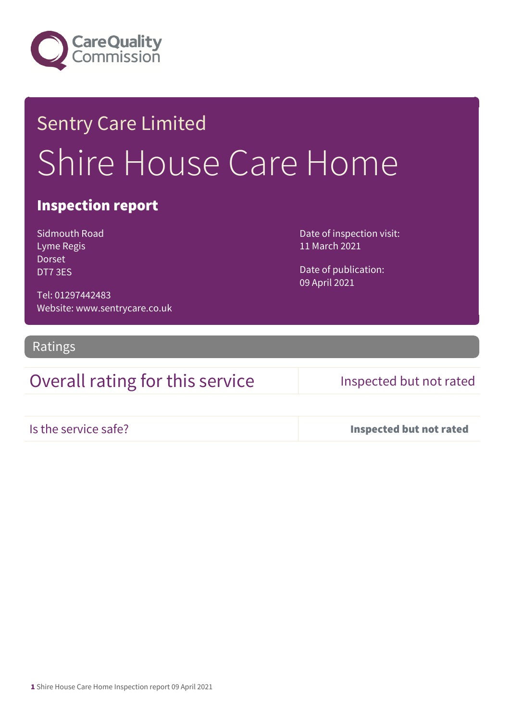

# Sentry Care Limited Shire House Care Home

## Inspection report

Sidmouth Road Lyme Regis Dorset DT7 3ES

Date of inspection visit: 11 March 2021

Date of publication: 09 April 2021

Tel: 01297442483 Website: www.sentrycare.co.uk

Ratings

## Overall rating for this service Inspected but not rated

Is the service safe? Inspected but not rated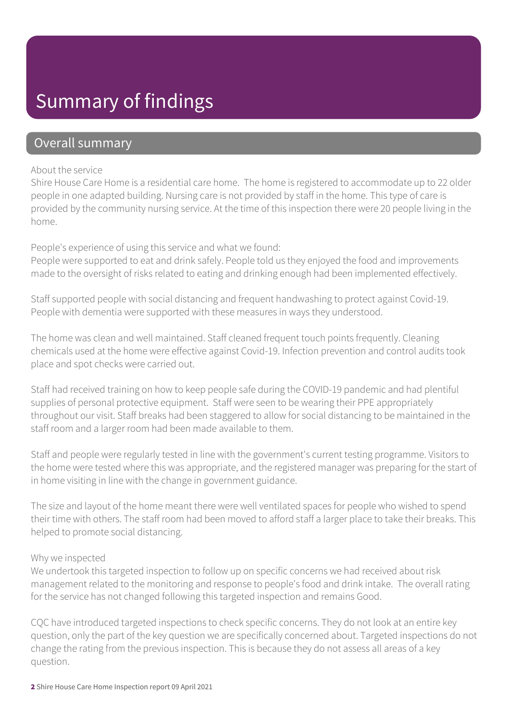# Summary of findings

## Overall summary

## About the service

Shire House Care Home is a residential care home. The home is registered to accommodate up to 22 older people in one adapted building. Nursing care is not provided by staff in the home. This type of care is provided by the community nursing service. At the time of this inspection there were 20 people living in the home.

People's experience of using this service and what we found:

People were supported to eat and drink safely. People told us they enjoyed the food and improvements made to the oversight of risks related to eating and drinking enough had been implemented effectively.

Staff supported people with social distancing and frequent handwashing to protect against Covid-19. People with dementia were supported with these measures in ways they understood.

The home was clean and well maintained. Staff cleaned frequent touch points frequently. Cleaning chemicals used at the home were effective against Covid-19. Infection prevention and control audits took place and spot checks were carried out.

Staff had received training on how to keep people safe during the COVID-19 pandemic and had plentiful supplies of personal protective equipment. Staff were seen to be wearing their PPE appropriately throughout our visit. Staff breaks had been staggered to allow for social distancing to be maintained in the staff room and a larger room had been made available to them.

Staff and people were regularly tested in line with the government's current testing programme. Visitors to the home were tested where this was appropriate, and the registered manager was preparing for the start of in home visiting in line with the change in government guidance.

The size and layout of the home meant there were well ventilated spaces for people who wished to spend their time with others. The staff room had been moved to afford staff a larger place to take their breaks. This helped to promote social distancing.

## Why we inspected

We undertook this targeted inspection to follow up on specific concerns we had received about risk management related to the monitoring and response to people's food and drink intake. The overall rating for the service has not changed following this targeted inspection and remains Good.

CQC have introduced targeted inspections to check specific concerns. They do not look at an entire key question, only the part of the key question we are specifically concerned about. Targeted inspections do not change the rating from the previous inspection. This is because they do not assess all areas of a key question.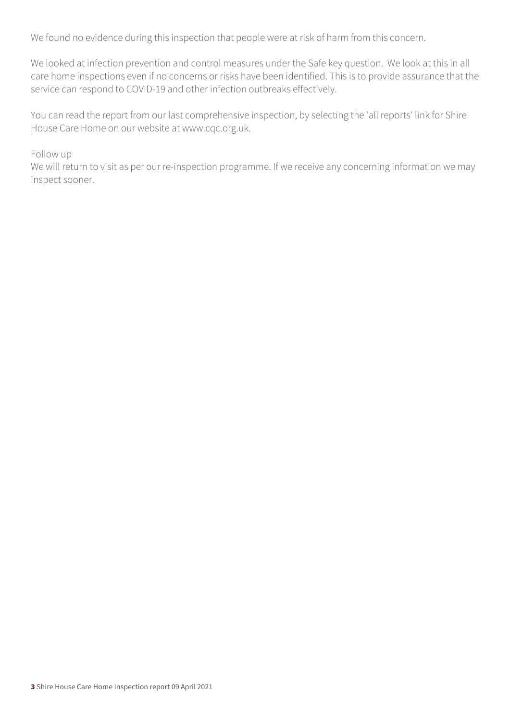We found no evidence during this inspection that people were at risk of harm from this concern.

We looked at infection prevention and control measures under the Safe key question. We look at this in all care home inspections even if no concerns or risks have been identified. This is to provide assurance that the service can respond to COVID-19 and other infection outbreaks effectively.

You can read the report from our last comprehensive inspection, by selecting the 'all reports' link for Shire House Care Home on our website at www.cqc.org.uk.

Follow up

We will return to visit as per our re-inspection programme. If we receive any concerning information we may inspect sooner.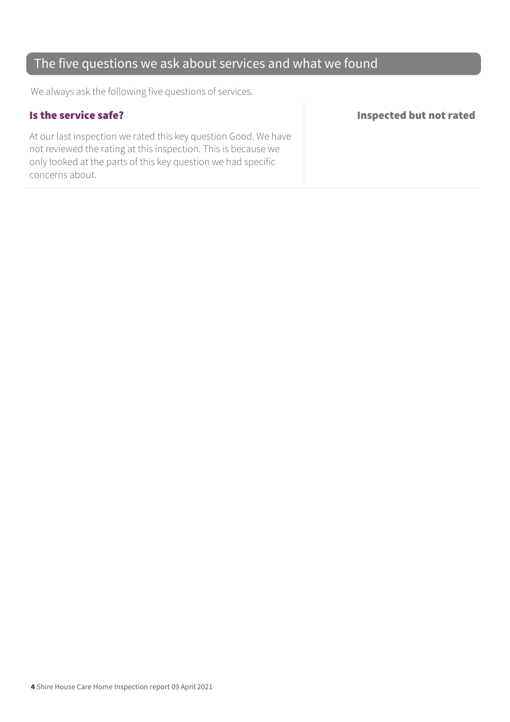## The five questions we ask about services and what we found

We always ask the following five questions of services.

At our last inspection we rated this key question Good. We have not reviewed the rating at this inspection. This is because we only looked at the parts of this key question we had specific concerns about.

### Is the service safe? Inspected but not rated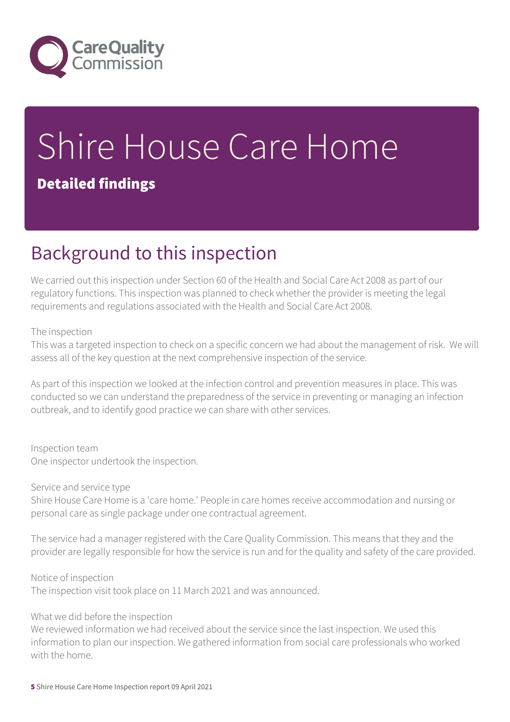

# Shire House Care Home

## Detailed findings

# Background to this inspection

We carried out this inspection under Section 60 of the Health and Social Care Act 2008 as part of our regulatory functions. This inspection was planned to check whether the provider is meeting the legal requirements and regulations associated with the Health and Social Care Act 2008.

## The inspection

This was a targeted inspection to check on a specific concern we had about the management of risk. We will assess all of the key question at the next comprehensive inspection of the service.

As part of this inspection we looked at the infection control and prevention measures in place. This was conducted so we can understand the preparedness of the service in preventing or managing an infection outbreak, and to identify good practice we can share with other services.

Inspection team One inspector undertook the inspection.

Service and service type

Shire House Care Home is a 'care home.' People in care homes receive accommodation and nursing or personal care as single package under one contractual agreement.

The service had a manager registered with the Care Quality Commission. This means that they and the provider are legally responsible for how the service is run and for the quality and safety of the care provided.

Notice of inspection

The inspection visit took place on 11 March 2021 and was announced.

What we did before the inspection

We reviewed information we had received about the service since the last inspection. We used this information to plan our inspection. We gathered information from social care professionals who worked with the home.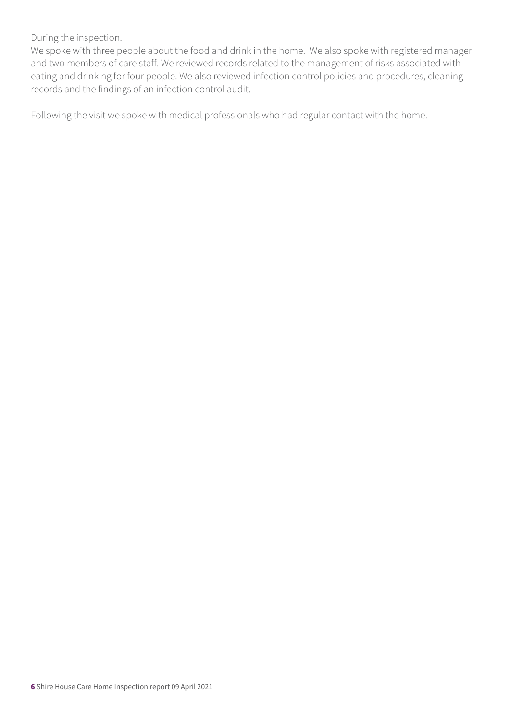During the inspection.

We spoke with three people about the food and drink in the home. We also spoke with registered manager and two members of care staff. We reviewed records related to the management of risks associated with eating and drinking for four people. We also reviewed infection control policies and procedures, cleaning records and the findings of an infection control audit.

Following the visit we spoke with medical professionals who had regular contact with the home.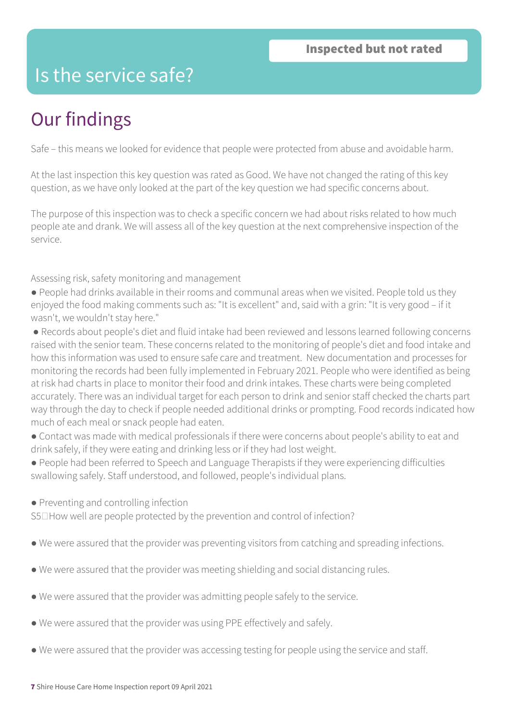# Is the service safe?

# Our findings

Safe – this means we looked for evidence that people were protected from abuse and avoidable harm.

At the last inspection this key question was rated as Good. We have not changed the rating of this key question, as we have only looked at the part of the key question we had specific concerns about.

The purpose of this inspection was to check a specific concern we had about risks related to how much people ate and drank. We will assess all of the key question at the next comprehensive inspection of the service.

Assessing risk, safety monitoring and management

- People had drinks available in their rooms and communal areas when we visited. People told us they enjoyed the food making comments such as: "It is excellent" and, said with a grin: "It is very good – if it wasn't, we wouldn't stay here."
- Records about people's diet and fluid intake had been reviewed and lessons learned following concerns raised with the senior team. These concerns related to the monitoring of people's diet and food intake and how this information was used to ensure safe care and treatment. New documentation and processes for monitoring the records had been fully implemented in February 2021. People who were identified as being at risk had charts in place to monitor their food and drink intakes. These charts were being completed accurately. There was an individual target for each person to drink and senior staff checked the charts part way through the day to check if people needed additional drinks or prompting. Food records indicated how much of each meal or snack people had eaten.
- Contact was made with medical professionals if there were concerns about people's ability to eat and drink safely, if they were eating and drinking less or if they had lost weight.
- People had been referred to Speech and Language Therapists if they were experiencing difficulties swallowing safely. Staff understood, and followed, people's individual plans.
- Preventing and controlling infection

 $S5\Box$  How well are people protected by the prevention and control of infection?

- We were assured that the provider was preventing visitors from catching and spreading infections.
- We were assured that the provider was meeting shielding and social distancing rules.
- We were assured that the provider was admitting people safely to the service.
- We were assured that the provider was using PPE effectively and safely.
- We were assured that the provider was accessing testing for people using the service and staff.